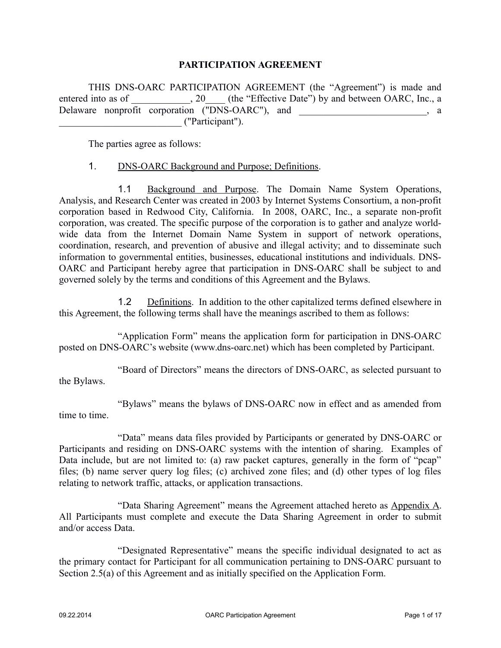#### **PARTICIPATION AGREEMENT**

THIS DNS-OARC PARTICIPATION AGREEMENT (the "Agreement") is made and entered into as of \_\_\_\_\_\_\_\_\_, 20\_\_\_\_ (the "Effective Date") by and between OARC, Inc., a Delaware nonprofit corporation ("DNS-OARC"), and \_\_\_\_\_\_\_\_\_\_\_\_\_\_\_\_\_, a \_\_\_\_\_\_\_\_\_\_\_\_\_\_\_\_\_\_\_\_\_\_\_\_\_ ("Participant").

The parties agree as follows:

#### 1. DNS-OARC Background and Purpose; Definitions.

1.1 Background and Purpose. The Domain Name System Operations, Analysis, and Research Center was created in 2003 by Internet Systems Consortium, a non-profit corporation based in Redwood City, California. In 2008, OARC, Inc., a separate non-profit corporation, was created. The specific purpose of the corporation is to gather and analyze worldwide data from the Internet Domain Name System in support of network operations, coordination, research, and prevention of abusive and illegal activity; and to disseminate such information to governmental entities, businesses, educational institutions and individuals. DNS-OARC and Participant hereby agree that participation in DNS-OARC shall be subject to and governed solely by the terms and conditions of this Agreement and the Bylaws.

1.2 Definitions. In addition to the other capitalized terms defined elsewhere in this Agreement, the following terms shall have the meanings ascribed to them as follows:

"Application Form" means the application form for participation in DNS-OARC posted on DNS-OARC's website (www.dns-oarc.net) which has been completed by Participant.

"Board of Directors" means the directors of DNS-OARC, as selected pursuant to the Bylaws.

"Bylaws" means the bylaws of DNS-OARC now in effect and as amended from time to time.

"Data" means data files provided by Participants or generated by DNS-OARC or Participants and residing on DNS-OARC systems with the intention of sharing. Examples of Data include, but are not limited to: (a) raw packet captures, generally in the form of "pcap" files; (b) name server query log files; (c) archived zone files; and (d) other types of log files relating to network traffic, attacks, or application transactions.

"Data Sharing Agreement" means the Agreement attached hereto as Appendix A. All Participants must complete and execute the Data Sharing Agreement in order to submit and/or access Data.

"Designated Representative" means the specific individual designated to act as the primary contact for Participant for all communication pertaining to DNS-OARC pursuant to Section 2.5(a) of this Agreement and as initially specified on the Application Form.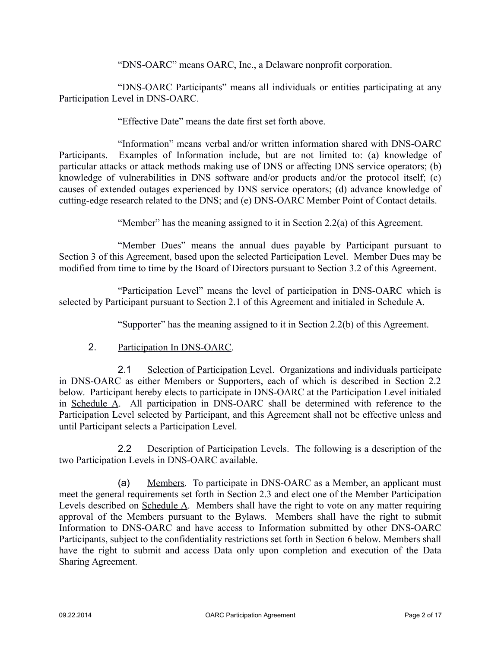"DNS-OARC" means OARC, Inc., a Delaware nonprofit corporation.

"DNS-OARC Participants" means all individuals or entities participating at any Participation Level in DNS-OARC.

"Effective Date" means the date first set forth above.

"Information" means verbal and/or written information shared with DNS-OARC Participants. Examples of Information include, but are not limited to: (a) knowledge of particular attacks or attack methods making use of DNS or affecting DNS service operators; (b) knowledge of vulnerabilities in DNS software and/or products and/or the protocol itself; (c) causes of extended outages experienced by DNS service operators; (d) advance knowledge of cutting-edge research related to the DNS; and (e) DNS-OARC Member Point of Contact details.

"Member" has the meaning assigned to it in Section 2.2(a) of this Agreement.

"Member Dues" means the annual dues payable by Participant pursuant to Section 3 of this Agreement, based upon the selected Participation Level. Member Dues may be modified from time to time by the Board of Directors pursuant to Section 3.2 of this Agreement.

"Participation Level" means the level of participation in DNS-OARC which is selected by Participant pursuant to Section 2.1 of this Agreement and initialed in Schedule A.

"Supporter" has the meaning assigned to it in Section 2.2(b) of this Agreement.

2. Participation In DNS-OARC.

2.1 Selection of Participation Level. Organizations and individuals participate in DNS-OARC as either Members or Supporters, each of which is described in Section 2.2 below. Participant hereby elects to participate in DNS-OARC at the Participation Level initialed in Schedule A. All participation in DNS-OARC shall be determined with reference to the Participation Level selected by Participant, and this Agreement shall not be effective unless and until Participant selects a Participation Level.

2.2 Description of Participation Levels. The following is a description of the two Participation Levels in DNS-OARC available.

(a) Members. To participate in DNS-OARC as a Member, an applicant must meet the general requirements set forth in Section 2.3 and elect one of the Member Participation Levels described on Schedule A. Members shall have the right to vote on any matter requiring approval of the Members pursuant to the Bylaws. Members shall have the right to submit Information to DNS-OARC and have access to Information submitted by other DNS-OARC Participants, subject to the confidentiality restrictions set forth in Section 6 below. Members shall have the right to submit and access Data only upon completion and execution of the Data Sharing Agreement.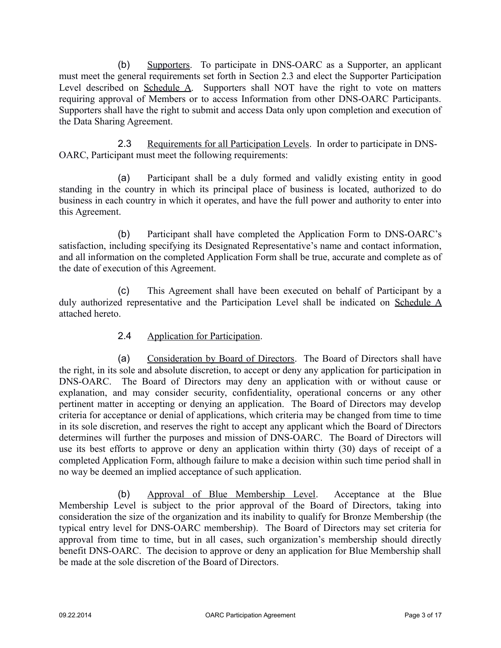(b) Supporters. To participate in DNS-OARC as a Supporter, an applicant must meet the general requirements set forth in Section 2.3 and elect the Supporter Participation Level described on Schedule A. Supporters shall NOT have the right to vote on matters requiring approval of Members or to access Information from other DNS-OARC Participants. Supporters shall have the right to submit and access Data only upon completion and execution of the Data Sharing Agreement.

2.3 Requirements for all Participation Levels. In order to participate in DNS-OARC, Participant must meet the following requirements:

(a) Participant shall be a duly formed and validly existing entity in good standing in the country in which its principal place of business is located, authorized to do business in each country in which it operates, and have the full power and authority to enter into this Agreement.

(b) Participant shall have completed the Application Form to DNS-OARC's satisfaction, including specifying its Designated Representative's name and contact information, and all information on the completed Application Form shall be true, accurate and complete as of the date of execution of this Agreement.

(c) This Agreement shall have been executed on behalf of Participant by a duly authorized representative and the Participation Level shall be indicated on Schedule A attached hereto.

# 2.4 Application for Participation.

(a) Consideration by Board of Directors. The Board of Directors shall have the right, in its sole and absolute discretion, to accept or deny any application for participation in DNS-OARC. The Board of Directors may deny an application with or without cause or explanation, and may consider security, confidentiality, operational concerns or any other pertinent matter in accepting or denying an application. The Board of Directors may develop criteria for acceptance or denial of applications, which criteria may be changed from time to time in its sole discretion, and reserves the right to accept any applicant which the Board of Directors determines will further the purposes and mission of DNS-OARC. The Board of Directors will use its best efforts to approve or deny an application within thirty (30) days of receipt of a completed Application Form, although failure to make a decision within such time period shall in no way be deemed an implied acceptance of such application.

(b) Approval of Blue Membership Level. Acceptance at the Blue Membership Level is subject to the prior approval of the Board of Directors, taking into consideration the size of the organization and its inability to qualify for Bronze Membership (the typical entry level for DNS-OARC membership). The Board of Directors may set criteria for approval from time to time, but in all cases, such organization's membership should directly benefit DNS-OARC. The decision to approve or deny an application for Blue Membership shall be made at the sole discretion of the Board of Directors.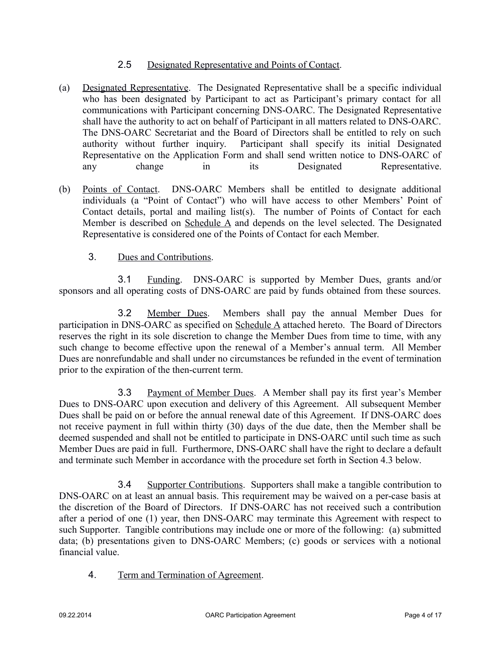# 2.5 Designated Representative and Points of Contact.

- (a) Designated Representative. The Designated Representative shall be a specific individual who has been designated by Participant to act as Participant's primary contact for all communications with Participant concerning DNS-OARC. The Designated Representative shall have the authority to act on behalf of Participant in all matters related to DNS-OARC. The DNS-OARC Secretariat and the Board of Directors shall be entitled to rely on such authority without further inquiry. Participant shall specify its initial Designated Representative on the Application Form and shall send written notice to DNS-OARC of any change in its Designated Representative.
- (b) Points of Contact. DNS-OARC Members shall be entitled to designate additional individuals (a "Point of Contact") who will have access to other Members' Point of Contact details, portal and mailing list(s). The number of Points of Contact for each Member is described on Schedule A and depends on the level selected. The Designated Representative is considered one of the Points of Contact for each Member.
	- 3. Dues and Contributions.

3.1 Funding. DNS-OARC is supported by Member Dues, grants and/or sponsors and all operating costs of DNS-OARC are paid by funds obtained from these sources.

3.2 Member Dues. Members shall pay the annual Member Dues for participation in DNS-OARC as specified on Schedule A attached hereto. The Board of Directors reserves the right in its sole discretion to change the Member Dues from time to time, with any such change to become effective upon the renewal of a Member's annual term. All Member Dues are nonrefundable and shall under no circumstances be refunded in the event of termination prior to the expiration of the then-current term.

3.3 Payment of Member Dues. A Member shall pay its first year's Member Dues to DNS-OARC upon execution and delivery of this Agreement. All subsequent Member Dues shall be paid on or before the annual renewal date of this Agreement. If DNS-OARC does not receive payment in full within thirty (30) days of the due date, then the Member shall be deemed suspended and shall not be entitled to participate in DNS-OARC until such time as such Member Dues are paid in full. Furthermore, DNS-OARC shall have the right to declare a default and terminate such Member in accordance with the procedure set forth in Section 4.3 below.

3.4 Supporter Contributions. Supporters shall make a tangible contribution to DNS-OARC on at least an annual basis. This requirement may be waived on a per-case basis at the discretion of the Board of Directors. If DNS-OARC has not received such a contribution after a period of one (1) year, then DNS-OARC may terminate this Agreement with respect to such Supporter. Tangible contributions may include one or more of the following: (a) submitted data; (b) presentations given to DNS-OARC Members; (c) goods or services with a notional financial value.

4. Term and Termination of Agreement.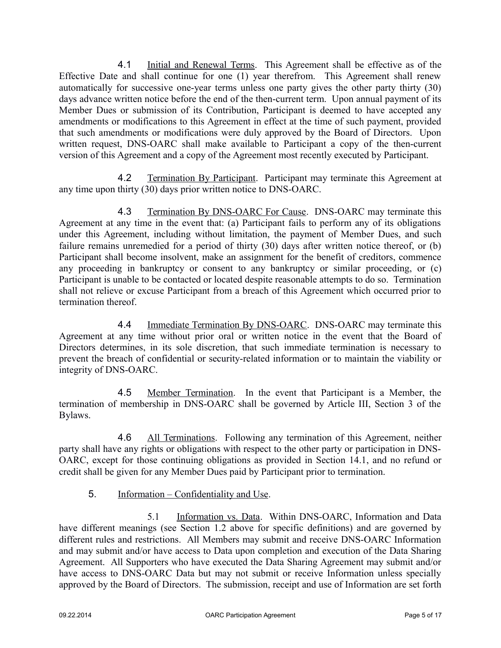4.1 Initial and Renewal Terms. This Agreement shall be effective as of the Effective Date and shall continue for one (1) year therefrom. This Agreement shall renew automatically for successive one-year terms unless one party gives the other party thirty (30) days advance written notice before the end of the then-current term. Upon annual payment of its Member Dues or submission of its Contribution, Participant is deemed to have accepted any amendments or modifications to this Agreement in effect at the time of such payment, provided that such amendments or modifications were duly approved by the Board of Directors. Upon written request, DNS-OARC shall make available to Participant a copy of the then-current version of this Agreement and a copy of the Agreement most recently executed by Participant.

4.2 Termination By Participant. Participant may terminate this Agreement at any time upon thirty (30) days prior written notice to DNS-OARC.

4.3 Termination By DNS-OARC For Cause. DNS-OARC may terminate this Agreement at any time in the event that: (a) Participant fails to perform any of its obligations under this Agreement, including without limitation, the payment of Member Dues, and such failure remains unremedied for a period of thirty (30) days after written notice thereof, or (b) Participant shall become insolvent, make an assignment for the benefit of creditors, commence any proceeding in bankruptcy or consent to any bankruptcy or similar proceeding, or (c) Participant is unable to be contacted or located despite reasonable attempts to do so. Termination shall not relieve or excuse Participant from a breach of this Agreement which occurred prior to termination thereof.

4.4 Immediate Termination By DNS-OARC. DNS-OARC may terminate this Agreement at any time without prior oral or written notice in the event that the Board of Directors determines, in its sole discretion, that such immediate termination is necessary to prevent the breach of confidential or security-related information or to maintain the viability or integrity of DNS-OARC.

4.5 Member Termination. In the event that Participant is a Member, the termination of membership in DNS-OARC shall be governed by Article III, Section 3 of the Bylaws.

4.6 All Terminations. Following any termination of this Agreement, neither party shall have any rights or obligations with respect to the other party or participation in DNS-OARC, except for those continuing obligations as provided in Section 14.1, and no refund or credit shall be given for any Member Dues paid by Participant prior to termination.

5. Information – Confidentiality and Use.

5.1 Information vs. Data. Within DNS-OARC, Information and Data have different meanings (see Section 1.2 above for specific definitions) and are governed by different rules and restrictions. All Members may submit and receive DNS-OARC Information and may submit and/or have access to Data upon completion and execution of the Data Sharing Agreement. All Supporters who have executed the Data Sharing Agreement may submit and/or have access to DNS-OARC Data but may not submit or receive Information unless specially approved by the Board of Directors. The submission, receipt and use of Information are set forth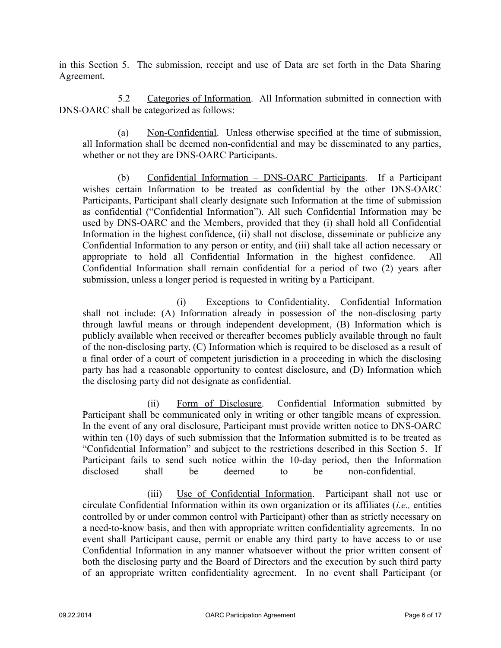in this Section 5. The submission, receipt and use of Data are set forth in the Data Sharing Agreement.

5.2 Categories of Information. All Information submitted in connection with DNS-OARC shall be categorized as follows:

(a) Non-Confidential. Unless otherwise specified at the time of submission, all Information shall be deemed non-confidential and may be disseminated to any parties, whether or not they are DNS-OARC Participants.

(b) Confidential Information – DNS-OARC Participants. If a Participant wishes certain Information to be treated as confidential by the other DNS-OARC Participants, Participant shall clearly designate such Information at the time of submission as confidential ("Confidential Information"). All such Confidential Information may be used by DNS-OARC and the Members, provided that they (i) shall hold all Confidential Information in the highest confidence, (ii) shall not disclose, disseminate or publicize any Confidential Information to any person or entity, and (iii) shall take all action necessary or appropriate to hold all Confidential Information in the highest confidence. All Confidential Information shall remain confidential for a period of two (2) years after submission, unless a longer period is requested in writing by a Participant.

(i) Exceptions to Confidentiality. Confidential Information shall not include: (A) Information already in possession of the non-disclosing party through lawful means or through independent development, (B) Information which is publicly available when received or thereafter becomes publicly available through no fault of the non-disclosing party, (C) Information which is required to be disclosed as a result of a final order of a court of competent jurisdiction in a proceeding in which the disclosing party has had a reasonable opportunity to contest disclosure, and (D) Information which the disclosing party did not designate as confidential.

(ii) Form of Disclosure. Confidential Information submitted by Participant shall be communicated only in writing or other tangible means of expression. In the event of any oral disclosure, Participant must provide written notice to DNS-OARC within ten (10) days of such submission that the Information submitted is to be treated as "Confidential Information" and subject to the restrictions described in this Section 5. If Participant fails to send such notice within the 10-day period, then the Information disclosed shall be deemed to be non-confidential.

(iii) Use of Confidential Information. Participant shall not use or circulate Confidential Information within its own organization or its affiliates (*i.e.,* entities controlled by or under common control with Participant) other than as strictly necessary on a need-to-know basis, and then with appropriate written confidentiality agreements. In no event shall Participant cause, permit or enable any third party to have access to or use Confidential Information in any manner whatsoever without the prior written consent of both the disclosing party and the Board of Directors and the execution by such third party of an appropriate written confidentiality agreement. In no event shall Participant (or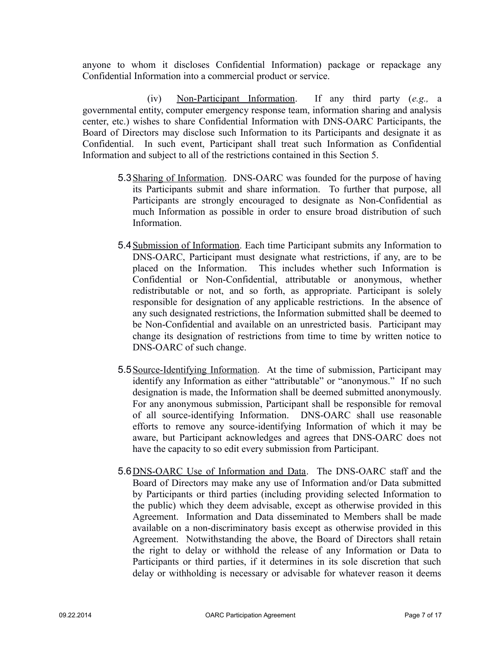anyone to whom it discloses Confidential Information) package or repackage any Confidential Information into a commercial product or service.

(iv) Non-Participant Information. If any third party (*e.g.,* a governmental entity, computer emergency response team, information sharing and analysis center, etc.) wishes to share Confidential Information with DNS-OARC Participants, the Board of Directors may disclose such Information to its Participants and designate it as Confidential. In such event, Participant shall treat such Information as Confidential Information and subject to all of the restrictions contained in this Section 5.

- 5.3 Sharing of Information. DNS-OARC was founded for the purpose of having its Participants submit and share information. To further that purpose, all Participants are strongly encouraged to designate as Non-Confidential as much Information as possible in order to ensure broad distribution of such Information.
- 5.4Submission of Information. Each time Participant submits any Information to DNS-OARC, Participant must designate what restrictions, if any, are to be placed on the Information. This includes whether such Information is Confidential or Non-Confidential, attributable or anonymous, whether redistributable or not, and so forth, as appropriate. Participant is solely responsible for designation of any applicable restrictions. In the absence of any such designated restrictions, the Information submitted shall be deemed to be Non-Confidential and available on an unrestricted basis. Participant may change its designation of restrictions from time to time by written notice to DNS-OARC of such change.
- 5.5Source-Identifying Information. At the time of submission, Participant may identify any Information as either "attributable" or "anonymous." If no such designation is made, the Information shall be deemed submitted anonymously. For any anonymous submission, Participant shall be responsible for removal of all source-identifying Information. DNS-OARC shall use reasonable efforts to remove any source-identifying Information of which it may be aware, but Participant acknowledges and agrees that DNS-OARC does not have the capacity to so edit every submission from Participant.
- 5.6DNS-OARC Use of Information and Data. The DNS-OARC staff and the Board of Directors may make any use of Information and/or Data submitted by Participants or third parties (including providing selected Information to the public) which they deem advisable, except as otherwise provided in this Agreement. Information and Data disseminated to Members shall be made available on a non-discriminatory basis except as otherwise provided in this Agreement. Notwithstanding the above, the Board of Directors shall retain the right to delay or withhold the release of any Information or Data to Participants or third parties, if it determines in its sole discretion that such delay or withholding is necessary or advisable for whatever reason it deems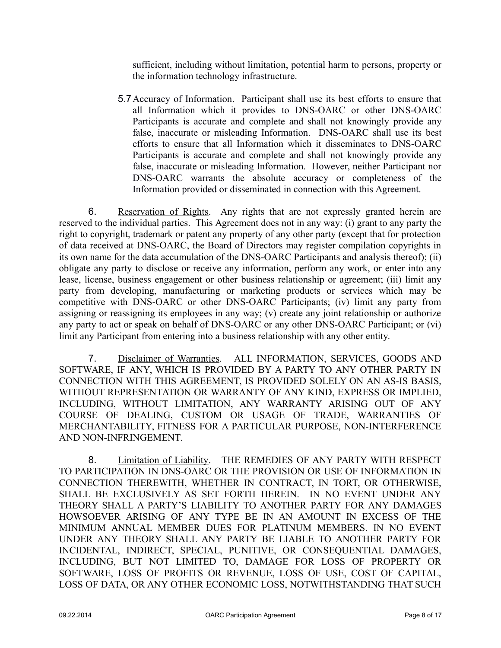sufficient, including without limitation, potential harm to persons, property or the information technology infrastructure.

5.7Accuracy of Information. Participant shall use its best efforts to ensure that all Information which it provides to DNS-OARC or other DNS-OARC Participants is accurate and complete and shall not knowingly provide any false, inaccurate or misleading Information. DNS-OARC shall use its best efforts to ensure that all Information which it disseminates to DNS-OARC Participants is accurate and complete and shall not knowingly provide any false, inaccurate or misleading Information. However, neither Participant nor DNS-OARC warrants the absolute accuracy or completeness of the Information provided or disseminated in connection with this Agreement.

6. Reservation of Rights. Any rights that are not expressly granted herein are reserved to the individual parties. This Agreement does not in any way: (i) grant to any party the right to copyright, trademark or patent any property of any other party (except that for protection of data received at DNS-OARC, the Board of Directors may register compilation copyrights in its own name for the data accumulation of the DNS-OARC Participants and analysis thereof); (ii) obligate any party to disclose or receive any information, perform any work, or enter into any lease, license, business engagement or other business relationship or agreement; (iii) limit any party from developing, manufacturing or marketing products or services which may be competitive with DNS-OARC or other DNS-OARC Participants; (iv) limit any party from assigning or reassigning its employees in any way; (v) create any joint relationship or authorize any party to act or speak on behalf of DNS-OARC or any other DNS-OARC Participant; or (vi) limit any Participant from entering into a business relationship with any other entity.

7. Disclaimer of Warranties. ALL INFORMATION, SERVICES, GOODS AND SOFTWARE, IF ANY, WHICH IS PROVIDED BY A PARTY TO ANY OTHER PARTY IN CONNECTION WITH THIS AGREEMENT, IS PROVIDED SOLELY ON AN AS-IS BASIS, WITHOUT REPRESENTATION OR WARRANTY OF ANY KIND, EXPRESS OR IMPLIED, INCLUDING, WITHOUT LIMITATION, ANY WARRANTY ARISING OUT OF ANY COURSE OF DEALING, CUSTOM OR USAGE OF TRADE, WARRANTIES OF MERCHANTABILITY, FITNESS FOR A PARTICULAR PURPOSE, NON-INTERFERENCE AND NON-INFRINGEMENT.

8. Limitation of Liability. THE REMEDIES OF ANY PARTY WITH RESPECT TO PARTICIPATION IN DNS-OARC OR THE PROVISION OR USE OF INFORMATION IN CONNECTION THEREWITH, WHETHER IN CONTRACT, IN TORT, OR OTHERWISE, SHALL BE EXCLUSIVELY AS SET FORTH HEREIN. IN NO EVENT UNDER ANY THEORY SHALL A PARTY'S LIABILITY TO ANOTHER PARTY FOR ANY DAMAGES HOWSOEVER ARISING OF ANY TYPE BE IN AN AMOUNT IN EXCESS OF THE MINIMUM ANNUAL MEMBER DUES FOR PLATINUM MEMBERS. IN NO EVENT UNDER ANY THEORY SHALL ANY PARTY BE LIABLE TO ANOTHER PARTY FOR INCIDENTAL, INDIRECT, SPECIAL, PUNITIVE, OR CONSEQUENTIAL DAMAGES, INCLUDING, BUT NOT LIMITED TO, DAMAGE FOR LOSS OF PROPERTY OR SOFTWARE, LOSS OF PROFITS OR REVENUE, LOSS OF USE, COST OF CAPITAL, LOSS OF DATA, OR ANY OTHER ECONOMIC LOSS, NOTWITHSTANDING THAT SUCH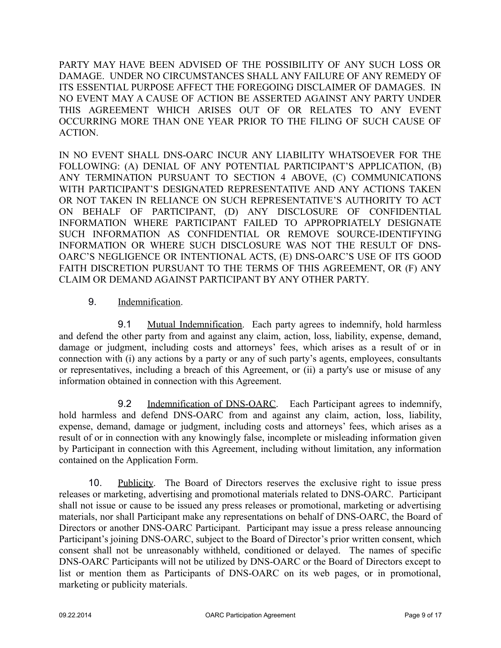PARTY MAY HAVE BEEN ADVISED OF THE POSSIBILITY OF ANY SUCH LOSS OR DAMAGE. UNDER NO CIRCUMSTANCES SHALL ANY FAILURE OF ANY REMEDY OF ITS ESSENTIAL PURPOSE AFFECT THE FOREGOING DISCLAIMER OF DAMAGES. IN NO EVENT MAY A CAUSE OF ACTION BE ASSERTED AGAINST ANY PARTY UNDER THIS AGREEMENT WHICH ARISES OUT OF OR RELATES TO ANY EVENT OCCURRING MORE THAN ONE YEAR PRIOR TO THE FILING OF SUCH CAUSE OF ACTION.

IN NO EVENT SHALL DNS-OARC INCUR ANY LIABILITY WHATSOEVER FOR THE FOLLOWING: (A) DENIAL OF ANY POTENTIAL PARTICIPANT'S APPLICATION, (B) ANY TERMINATION PURSUANT TO SECTION 4 ABOVE, (C) COMMUNICATIONS WITH PARTICIPANT'S DESIGNATED REPRESENTATIVE AND ANY ACTIONS TAKEN OR NOT TAKEN IN RELIANCE ON SUCH REPRESENTATIVE'S AUTHORITY TO ACT ON BEHALF OF PARTICIPANT, (D) ANY DISCLOSURE OF CONFIDENTIAL INFORMATION WHERE PARTICIPANT FAILED TO APPROPRIATELY DESIGNATE SUCH INFORMATION AS CONFIDENTIAL OR REMOVE SOURCE-IDENTIFYING INFORMATION OR WHERE SUCH DISCLOSURE WAS NOT THE RESULT OF DNS-OARC'S NEGLIGENCE OR INTENTIONAL ACTS, (E) DNS-OARC'S USE OF ITS GOOD FAITH DISCRETION PURSUANT TO THE TERMS OF THIS AGREEMENT, OR (F) ANY CLAIM OR DEMAND AGAINST PARTICIPANT BY ANY OTHER PARTY.

# 9. Indemnification.

9.1 Mutual Indemnification. Each party agrees to indemnify, hold harmless and defend the other party from and against any claim, action, loss, liability, expense, demand, damage or judgment, including costs and attorneys' fees, which arises as a result of or in connection with (i) any actions by a party or any of such party's agents, employees, consultants or representatives, including a breach of this Agreement, or (ii) a party's use or misuse of any information obtained in connection with this Agreement.

9.2 Indemnification of DNS-OARC. Each Participant agrees to indemnify, hold harmless and defend DNS-OARC from and against any claim, action, loss, liability, expense, demand, damage or judgment, including costs and attorneys' fees, which arises as a result of or in connection with any knowingly false, incomplete or misleading information given by Participant in connection with this Agreement, including without limitation, any information contained on the Application Form.

10. Publicity. The Board of Directors reserves the exclusive right to issue press releases or marketing, advertising and promotional materials related to DNS-OARC. Participant shall not issue or cause to be issued any press releases or promotional, marketing or advertising materials, nor shall Participant make any representations on behalf of DNS-OARC, the Board of Directors or another DNS-OARC Participant. Participant may issue a press release announcing Participant's joining DNS-OARC, subject to the Board of Director's prior written consent, which consent shall not be unreasonably withheld, conditioned or delayed. The names of specific DNS-OARC Participants will not be utilized by DNS-OARC or the Board of Directors except to list or mention them as Participants of DNS-OARC on its web pages, or in promotional, marketing or publicity materials.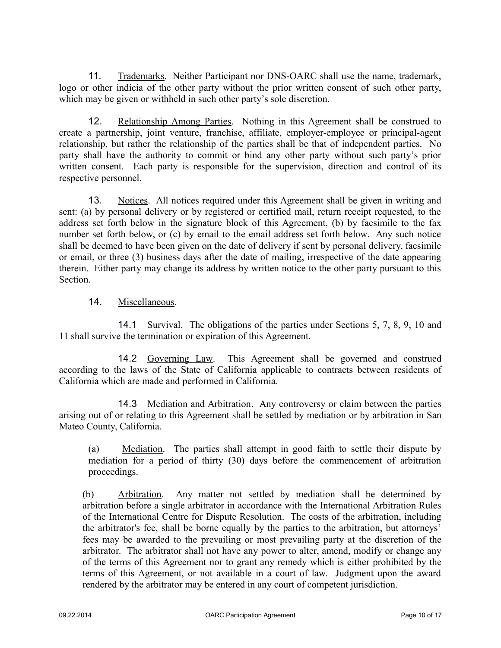11. Trademarks. Neither Participant nor DNS-OARC shall use the name, trademark, logo or other indicia of the other party without the prior written consent of such other party, which may be given or withheld in such other party's sole discretion.

12. Relationship Among Parties. Nothing in this Agreement shall be construed to create a partnership, joint venture, franchise, affiliate, employer-employee or principal-agent relationship, but rather the relationship of the parties shall be that of independent parties. No party shall have the authority to commit or bind any other party without such party's prior written consent. Each party is responsible for the supervision, direction and control of its respective personnel.

13. Notices. All notices required under this Agreement shall be given in writing and sent: (a) by personal delivery or by registered or certified mail, return receipt requested, to the address set forth below in the signature block of this Agreement, (b) by facsimile to the fax number set forth below, or (c) by email to the email address set forth below. Any such notice shall be deemed to have been given on the date of delivery if sent by personal delivery, facsimile or email, or three (3) business days after the date of mailing, irrespective of the date appearing therein. Either party may change its address by written notice to the other party pursuant to this Section.

14. Miscellaneous.

14.1 Survival. The obligations of the parties under Sections 5, 7, 8, 9, 10 and 11 shall survive the termination or expiration of this Agreement.

14.2 Governing Law. This Agreement shall be governed and construed according to the laws of the State of California applicable to contracts between residents of California which are made and performed in California.

14.3 Mediation and Arbitration. Any controversy or claim between the parties arising out of or relating to this Agreement shall be settled by mediation or by arbitration in San Mateo County, California.

(a) Mediation. The parties shall attempt in good faith to settle their dispute by mediation for a period of thirty (30) days before the commencement of arbitration proceedings.

(b) Arbitration. Any matter not settled by mediation shall be determined by arbitration before a single arbitrator in accordance with the International Arbitration Rules of the International Centre for Dispute Resolution. The costs of the arbitration, including the arbitrator's fee, shall be borne equally by the parties to the arbitration, but attorneys' fees may be awarded to the prevailing or most prevailing party at the discretion of the arbitrator. The arbitrator shall not have any power to alter, amend, modify or change any of the terms of this Agreement nor to grant any remedy which is either prohibited by the terms of this Agreement, or not available in a court of law. Judgment upon the award rendered by the arbitrator may be entered in any court of competent jurisdiction.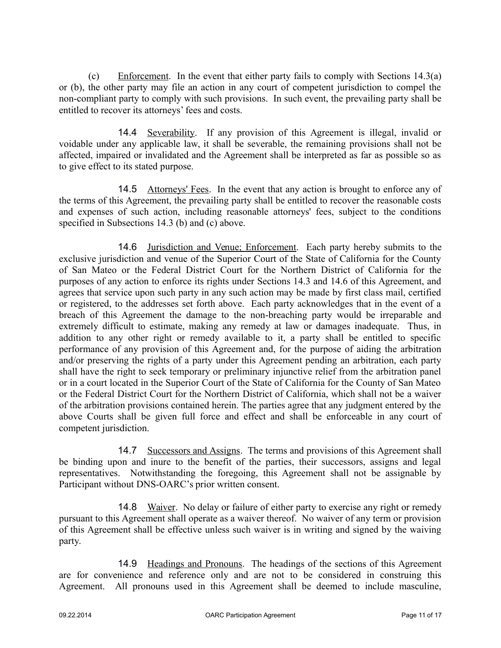(c) Enforcement. In the event that either party fails to comply with Sections 14.3(a) or (b), the other party may file an action in any court of competent jurisdiction to compel the non-compliant party to comply with such provisions. In such event, the prevailing party shall be entitled to recover its attorneys' fees and costs.

14.4 Severability. If any provision of this Agreement is illegal, invalid or voidable under any applicable law, it shall be severable, the remaining provisions shall not be affected, impaired or invalidated and the Agreement shall be interpreted as far as possible so as to give effect to its stated purpose.

14.5 Attorneys' Fees. In the event that any action is brought to enforce any of the terms of this Agreement, the prevailing party shall be entitled to recover the reasonable costs and expenses of such action, including reasonable attorneys' fees, subject to the conditions specified in Subsections 14.3 (b) and (c) above.

14.6 Jurisdiction and Venue; Enforcement. Each party hereby submits to the exclusive jurisdiction and venue of the Superior Court of the State of California for the County of San Mateo or the Federal District Court for the Northern District of California for the purposes of any action to enforce its rights under Sections 14.3 and 14.6 of this Agreement, and agrees that service upon such party in any such action may be made by first class mail, certified or registered, to the addresses set forth above. Each party acknowledges that in the event of a breach of this Agreement the damage to the non-breaching party would be irreparable and extremely difficult to estimate, making any remedy at law or damages inadequate. Thus, in addition to any other right or remedy available to it, a party shall be entitled to specific performance of any provision of this Agreement and, for the purpose of aiding the arbitration and/or preserving the rights of a party under this Agreement pending an arbitration, each party shall have the right to seek temporary or preliminary injunctive relief from the arbitration panel or in a court located in the Superior Court of the State of California for the County of San Mateo or the Federal District Court for the Northern District of California, which shall not be a waiver of the arbitration provisions contained herein. The parties agree that any judgment entered by the above Courts shall be given full force and effect and shall be enforceable in any court of competent jurisdiction.

14.7 Successors and Assigns. The terms and provisions of this Agreement shall be binding upon and inure to the benefit of the parties, their successors, assigns and legal representatives. Notwithstanding the foregoing, this Agreement shall not be assignable by Participant without DNS-OARC's prior written consent.

14.8 Waiver. No delay or failure of either party to exercise any right or remedy pursuant to this Agreement shall operate as a waiver thereof. No waiver of any term or provision of this Agreement shall be effective unless such waiver is in writing and signed by the waiving party.

14.9 Headings and Pronouns. The headings of the sections of this Agreement are for convenience and reference only and are not to be considered in construing this Agreement. All pronouns used in this Agreement shall be deemed to include masculine,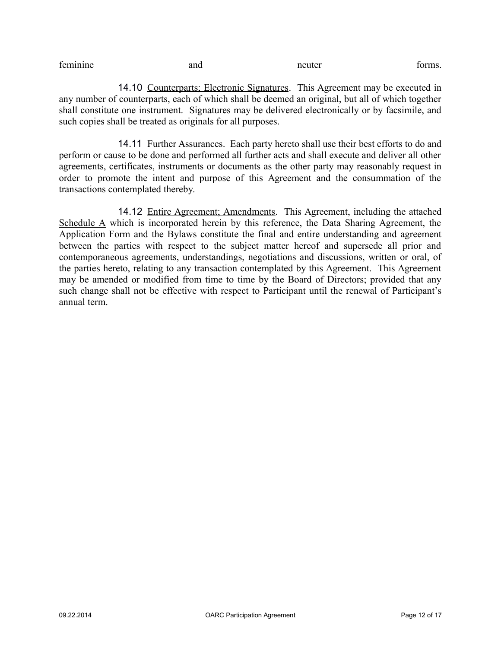feminine and and neuter forms.

14.10 Counterparts; Electronic Signatures. This Agreement may be executed in any number of counterparts, each of which shall be deemed an original, but all of which together shall constitute one instrument. Signatures may be delivered electronically or by facsimile, and such copies shall be treated as originals for all purposes.

14.11 Further Assurances. Each party hereto shall use their best efforts to do and perform or cause to be done and performed all further acts and shall execute and deliver all other agreements, certificates, instruments or documents as the other party may reasonably request in order to promote the intent and purpose of this Agreement and the consummation of the transactions contemplated thereby.

14.12 Entire Agreement; Amendments. This Agreement, including the attached Schedule A which is incorporated herein by this reference, the Data Sharing Agreement, the Application Form and the Bylaws constitute the final and entire understanding and agreement between the parties with respect to the subject matter hereof and supersede all prior and contemporaneous agreements, understandings, negotiations and discussions, written or oral, of the parties hereto, relating to any transaction contemplated by this Agreement. This Agreement may be amended or modified from time to time by the Board of Directors; provided that any such change shall not be effective with respect to Participant until the renewal of Participant's annual term.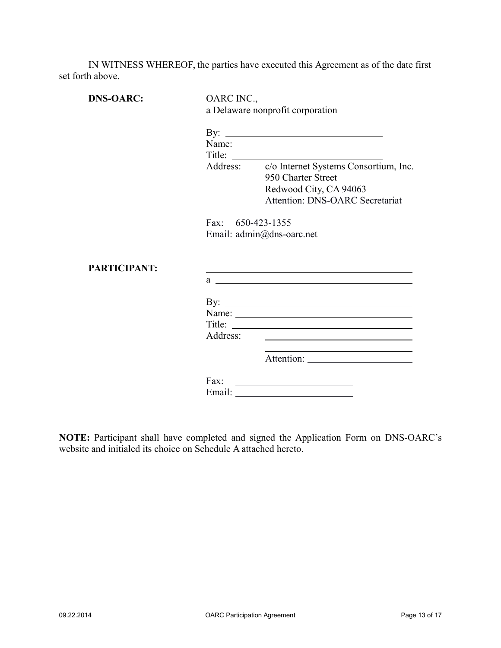IN WITNESS WHEREOF, the parties have executed this Agreement as of the date first set forth above.

| <b>DNS-OARC:</b>    | OARC INC.,<br>a Delaware nonprofit corporation |                                                                                                                                                   |  |
|---------------------|------------------------------------------------|---------------------------------------------------------------------------------------------------------------------------------------------------|--|
|                     | By: $\qquad \qquad$                            |                                                                                                                                                   |  |
|                     | Title: $\qquad \qquad \qquad$                  |                                                                                                                                                   |  |
|                     |                                                | Address: c/o Internet Systems Consortium, Inc.<br>950 Charter Street<br>Redwood City, CA 94063                                                    |  |
|                     |                                                | Attention: DNS-OARC Secretariat                                                                                                                   |  |
| <b>PARTICIPANT:</b> |                                                | Email: admin@dns-oarc.net<br><u> 1980 - Johann Barn, amerikan besteman besteman besteman besteman besteman besteman besteman besteman bestema</u> |  |
|                     |                                                | $a \sim a$                                                                                                                                        |  |
|                     |                                                | By: $\qquad \qquad$                                                                                                                               |  |
|                     | Address:                                       |                                                                                                                                                   |  |
|                     |                                                |                                                                                                                                                   |  |
|                     | Fax:                                           |                                                                                                                                                   |  |

**NOTE:** Participant shall have completed and signed the Application Form on DNS-OARC's website and initialed its choice on Schedule A attached hereto.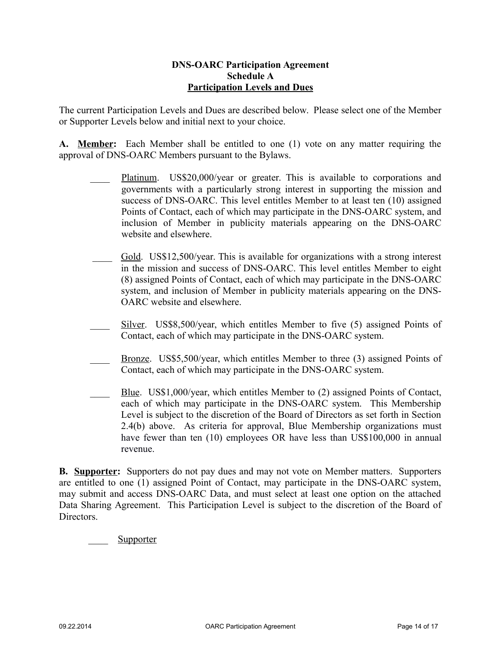#### **DNS-OARC Participation Agreement Schedule A Participation Levels and Dues**

The current Participation Levels and Dues are described below. Please select one of the Member or Supporter Levels below and initial next to your choice.

**A. Member:** Each Member shall be entitled to one (1) vote on any matter requiring the approval of DNS-OARC Members pursuant to the Bylaws.

- Platinum. US\$20,000/year or greater. This is available to corporations and governments with a particularly strong interest in supporting the mission and success of DNS-OARC. This level entitles Member to at least ten (10) assigned Points of Contact, each of which may participate in the DNS-OARC system, and inclusion of Member in publicity materials appearing on the DNS-OARC website and elsewhere.
- \_\_\_\_ Gold. US\$12,500/year. This is available for organizations with a strong interest in the mission and success of DNS-OARC. This level entitles Member to eight (8) assigned Points of Contact, each of which may participate in the DNS-OARC system, and inclusion of Member in publicity materials appearing on the DNS-OARC website and elsewhere.
- Silver. US\$8,500/year, which entitles Member to five (5) assigned Points of Contact, each of which may participate in the DNS-OARC system.
- Bronze. US\$5,500/year, which entitles Member to three (3) assigned Points of Contact, each of which may participate in the DNS-OARC system.
- Blue. US\$1,000/year, which entitles Member to (2) assigned Points of Contact, each of which may participate in the DNS-OARC system. This Membership Level is subject to the discretion of the Board of Directors as set forth in Section 2.4(b) above. As criteria for approval, Blue Membership organizations must have fewer than ten (10) employees OR have less than US\$100,000 in annual revenue.

**B. Supporter:** Supporters do not pay dues and may not vote on Member matters. Supporters are entitled to one (1) assigned Point of Contact, may participate in the DNS-OARC system, may submit and access DNS-OARC Data, and must select at least one option on the attached Data Sharing Agreement. This Participation Level is subject to the discretion of the Board of **Directors** 

Supporter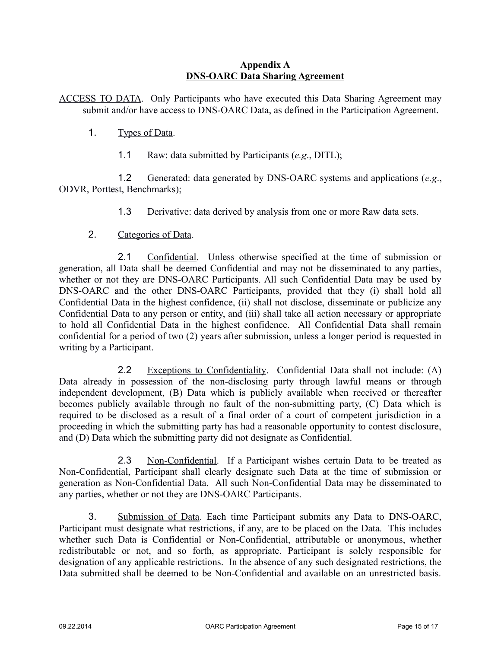#### **Appendix A DNS-OARC Data Sharing Agreement**

ACCESS TO DATA. Only Participants who have executed this Data Sharing Agreement may submit and/or have access to DNS-OARC Data, as defined in the Participation Agreement.

- 1. Types of Data.
	- 1.1 Raw: data submitted by Participants (*e.g*., DITL);

1.2 Generated: data generated by DNS-OARC systems and applications (*e.g*., ODVR, Porttest, Benchmarks);

1.3 Derivative: data derived by analysis from one or more Raw data sets.

# 2. Categories of Data.

2.1 Confidential. Unless otherwise specified at the time of submission or generation, all Data shall be deemed Confidential and may not be disseminated to any parties, whether or not they are DNS-OARC Participants. All such Confidential Data may be used by DNS-OARC and the other DNS-OARC Participants, provided that they (i) shall hold all Confidential Data in the highest confidence, (ii) shall not disclose, disseminate or publicize any Confidential Data to any person or entity, and (iii) shall take all action necessary or appropriate to hold all Confidential Data in the highest confidence. All Confidential Data shall remain confidential for a period of two (2) years after submission, unless a longer period is requested in writing by a Participant.

2.2 Exceptions to Confidentiality. Confidential Data shall not include: (A) Data already in possession of the non-disclosing party through lawful means or through independent development, (B) Data which is publicly available when received or thereafter becomes publicly available through no fault of the non-submitting party, (C) Data which is required to be disclosed as a result of a final order of a court of competent jurisdiction in a proceeding in which the submitting party has had a reasonable opportunity to contest disclosure, and (D) Data which the submitting party did not designate as Confidential.

2.3 Non-Confidential. If a Participant wishes certain Data to be treated as Non-Confidential, Participant shall clearly designate such Data at the time of submission or generation as Non-Confidential Data. All such Non-Confidential Data may be disseminated to any parties, whether or not they are DNS-OARC Participants.

3. Submission of Data. Each time Participant submits any Data to DNS-OARC, Participant must designate what restrictions, if any, are to be placed on the Data. This includes whether such Data is Confidential or Non-Confidential, attributable or anonymous, whether redistributable or not, and so forth, as appropriate. Participant is solely responsible for designation of any applicable restrictions. In the absence of any such designated restrictions, the Data submitted shall be deemed to be Non-Confidential and available on an unrestricted basis.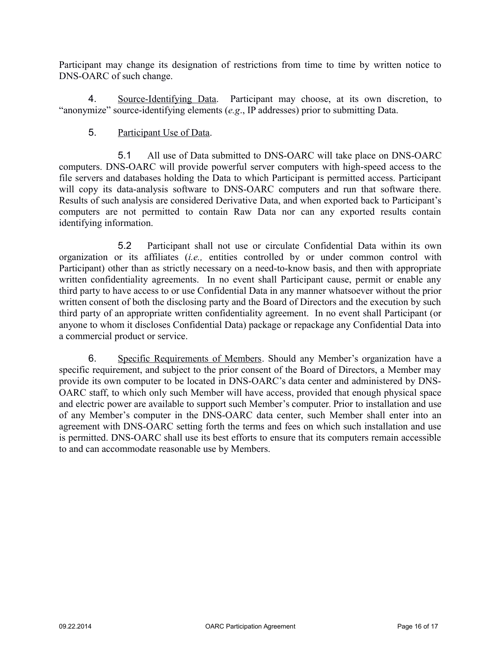Participant may change its designation of restrictions from time to time by written notice to DNS-OARC of such change.

4. Source-Identifying Data. Participant may choose, at its own discretion, to "anonymize" source-identifying elements (*e.g*., IP addresses) prior to submitting Data.

# 5. Participant Use of Data.

5.1 All use of Data submitted to DNS-OARC will take place on DNS-OARC computers. DNS-OARC will provide powerful server computers with high-speed access to the file servers and databases holding the Data to which Participant is permitted access. Participant will copy its data-analysis software to DNS-OARC computers and run that software there. Results of such analysis are considered Derivative Data, and when exported back to Participant's computers are not permitted to contain Raw Data nor can any exported results contain identifying information.

5.2 Participant shall not use or circulate Confidential Data within its own organization or its affiliates (*i.e.,* entities controlled by or under common control with Participant) other than as strictly necessary on a need-to-know basis, and then with appropriate written confidentiality agreements. In no event shall Participant cause, permit or enable any third party to have access to or use Confidential Data in any manner whatsoever without the prior written consent of both the disclosing party and the Board of Directors and the execution by such third party of an appropriate written confidentiality agreement. In no event shall Participant (or anyone to whom it discloses Confidential Data) package or repackage any Confidential Data into a commercial product or service.

6. Specific Requirements of Members. Should any Member's organization have a specific requirement, and subject to the prior consent of the Board of Directors, a Member may provide its own computer to be located in DNS-OARC's data center and administered by DNS-OARC staff, to which only such Member will have access, provided that enough physical space and electric power are available to support such Member's computer. Prior to installation and use of any Member's computer in the DNS-OARC data center, such Member shall enter into an agreement with DNS-OARC setting forth the terms and fees on which such installation and use is permitted. DNS-OARC shall use its best efforts to ensure that its computers remain accessible to and can accommodate reasonable use by Members.